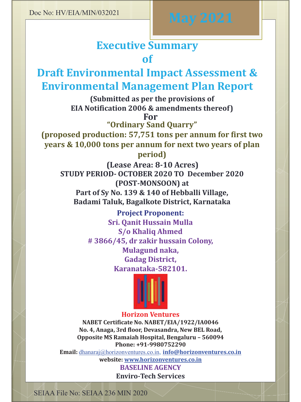# **Executive Summary of**

# **Draft Environmental Impact Assessment & Environmental Management Plan Report**

**(Submitted as per the provisions of EIA Notification 2006 & amendments thereof)For**

**"Ordinary Sand Quarry"**

 **(proposed production: 57,751 tons per annum for first two years & 10,000 tons per annum for next two years of plan period)**

**(Lease Area: 8-10 Acres) STUDY PERIOD- OCTOBER 2020 TO December 2020 (POST-MONSOON) at Part of Sy No. 139 & 140 of Hebballi Village, Badami Taluk, Bagalkote District, Karnataka**

> **Project Proponent:Sri. Qanit Hussain Mulla S/o Khaliq Ahmed # 3866/45, dr zakir hussain Colony, Mulagund naka, Gadag District, Karanataka-582101.**



# **Horizon Ventures**

 **NABET Certificate No. NABET/EIA/1922/IA0046 No. 4, Anaga, 3rd floor, Devasandra, New BEL Road, Opposite MS Ramaiah Hospital, Bengaluru – <sup>560094</sup> Phone: +91-9980752290**

 **Email:** dhanaraj@horizonventures.co.in, **info@horizonventures.co.inwebsite: www.horizonventures.co.in**

**BASELINE AGENCYEnviro-Tech Services** 

SEIAA File No: SEIAA 236 MIN 2020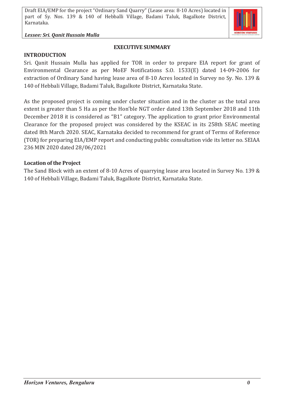#### *Lessee: Sri. Qanit Hussain Mulla*

**INTRODUCTION**

#### **EXECUTIVE SUMMARY**

Sri. Qanit Hussain Mulla has applied for TOR in order to prepare EIA report for grant of Environmental Clearance as per MoEF Notifications S.O. 1533(E) dated 14-09-2006 for extraction of Ordinary Sand having lease area of 8-10 Acres located in Survey no Sy. No. 139 & 140 of Hebbali Village, Badami Taluk, Bagalkote District, Karnataka State.

As the proposed project is coming under cluster situation and in the cluster as the total area extent is greater than 5 Ha as per the Hon'ble NGT order dated 13th September 2018 and 11th December 2018 it is considered as "B1" category. The application to grant prior Environmental Clearance for the proposed project was considered by the KSEAC in its 258th SEAC meeting dated 8th March 2020. SEAC, Karnataka decided to recommend for grant of Terms of Reference (TOR) for preparing EIA/EMP report and conducting public consultation vide its letter no. SEIAA 236 MIN 2020 dated 28/06/2021

#### **Location of the Project**

The Sand Block with an extent of 8-10 Acres of quarrying lease area located in Survey No. 139 & 140 of Hebbali Village, Badami Taluk, Bagalkote District, Karnataka State.

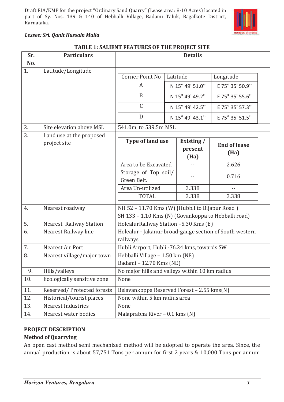

*Lessee: Sri. Qanit Hussain Mulla*

| <b>TABLE 1: SALIENT FEATURES OF THE PROJECT SITE</b> |  |
|------------------------------------------------------|--|
|                                                      |  |

| Sr. | <b>Particulars</b>             | <b>Details</b>                                          |                               |                 |                          |  |
|-----|--------------------------------|---------------------------------------------------------|-------------------------------|-----------------|--------------------------|--|
| No. |                                |                                                         |                               |                 |                          |  |
| 1.  | Latitude/Longitude             |                                                         |                               |                 |                          |  |
|     |                                | Corner Point No                                         | Latitude                      |                 | Longitude                |  |
|     |                                | A                                                       | N 15° 49' 51.0"               |                 | E 75° 35' 50.9"          |  |
|     |                                | B                                                       | N 15° 49' 49.2"               |                 | E 75° 35' 55.6"          |  |
|     |                                | $\mathsf C$                                             | N 15° 49' 42.5"               |                 | E 75° 35' 57.3"          |  |
|     |                                | D                                                       |                               | N 15° 49' 43.1" | E 75° 35' 51.5"          |  |
| 2.  | Site elevation above MSL       | 541.0m to 539.5m MSL                                    |                               |                 |                          |  |
| 3.  | Land use at the proposed       |                                                         |                               |                 |                          |  |
|     | project site                   | <b>Type of land use</b>                                 | Existing /<br>present<br>(Ha) |                 | <b>End of lease</b>      |  |
|     |                                |                                                         |                               |                 | (Ha)                     |  |
|     |                                | Area to be Excavated                                    |                               |                 | 2.626                    |  |
|     |                                | Storage of Top soil/                                    |                               |                 | 0.716                    |  |
|     |                                | Green Belt.                                             |                               |                 |                          |  |
|     |                                | Area Un-utilized                                        | 3.338                         |                 | $\overline{\phantom{a}}$ |  |
|     |                                | <b>TOTAL</b>                                            | 3.338                         |                 | 3.338                    |  |
| 4.  | Nearest roadway                | NH 52 - 11.70 Kms (W) (Hubbli to Bijapur Road)          |                               |                 |                          |  |
|     |                                | SH 133 - 1.10 Kms (N) (Govankoppa to Hebballi road)     |                               |                 |                          |  |
| 5.  | <b>Nearest Railway Station</b> | HolealurRailway Station -5.30 Kms (E)                   |                               |                 |                          |  |
| 6.  | Nearest Railway line           | Holealur - Jakanur broad-gauge section of South western |                               |                 |                          |  |
|     |                                | railways                                                |                               |                 |                          |  |
| 7.  | Nearest Air Port               | Hubli Airport, Hubli -76.24 kms, towards SW             |                               |                 |                          |  |
| 8.  | Nearest village/major town     | Hebballi Village - 1.50 km (NE)                         |                               |                 |                          |  |
|     |                                | Badami - 12.70 Kms (NE)                                 |                               |                 |                          |  |
| 9.  | Hills/valleys                  | No major hills and valleys within 10 km radius          |                               |                 |                          |  |
| 10. | Ecologically sensitive zone    | None                                                    |                               |                 |                          |  |
| 11. | Reserved/Protected forests     | Belavankoppa Reserved Forest - 2.55 kms(N)              |                               |                 |                          |  |
| 12. | Historical/tourist places      | None within 5 km radius area                            |                               |                 |                          |  |
| 13. | <b>Nearest Industries</b>      | None                                                    |                               |                 |                          |  |
| 14. | Nearest water bodies           | Malaprabha River - 0.1 kms (N)                          |                               |                 |                          |  |

# **PROJECT DESCRIPTION**

# **Method of Quarrying**

An open cast method semi mechanized method will be adopted to operate the area. Since, the annual production is about 57,751 Tons per annum for first 2 years & 10,000 Tons per annum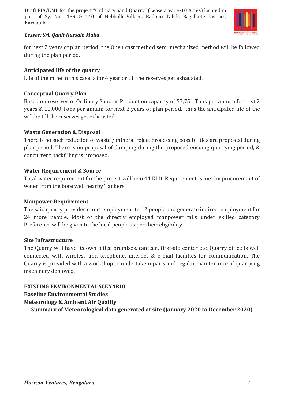

#### *Lessee: Sri. Qanit Hussain Mulla*

for next 2 years of plan period; the Open cast method semi mechanized method will be followed during the plan period.

## **Anticipated life of the quarry**

Life of the mine in this case is for 4 year or till the reserves get exhausted.

## **Conceptual Quarry Plan**

Based on reserves of Ordinary Sand as Production capacity of 57,751 Tons per annum for first 2 years & 10,000 Tons per annum for next 2 years of plan period, thus the anticipated life of the will be till the reserves get exhausted.

## **Waste Generation & Disposal**

There is no such reduction of waste / mineral reject processing possibilities are proposed during plan period. There is no proposal of dumping during the proposed ensuing quarrying period, & concurrent backfilling is proposed.

## **Water Requirement & Source**

Total water requirement for the project will be 6.44 KLD, Requirement is met by procurement of water from the bore well nearby Tankers.

#### **Manpower Requirement**

The said quarry provides direct employment to 12 people and generate indirect employment for 24 more people. Most of the directly employed manpower falls under skilled category Preference will be given to the local people as per their eligibility.

#### **Site Infrastructure**

The Quarry will have its own office premises, canteen, first-aid center etc. Quarry office is well connected with wireless and telephone, internet & e-mail facilities for communication. The Quarry is provided with a workshop to undertake repairs and regular maintenance of quarrying machinery deployed.

**EXISTING ENVIRONMENTAL SCENARIO Baseline Environmental Studies Meteorology & Ambient Air Quality Summary of Meteorological data generated at site (January 2020 to December 2020)**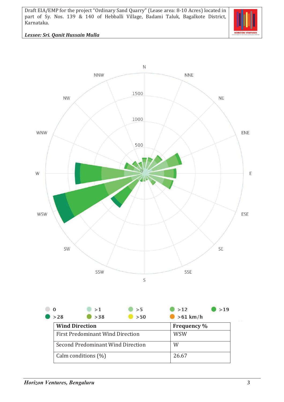

#### *Lessee: Sri. Qanit Hussain Mulla*

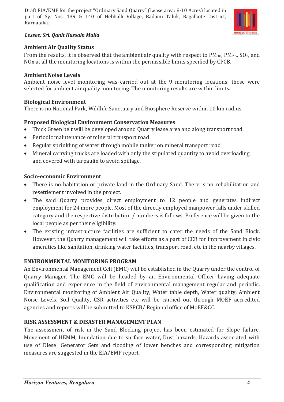*Lessee: Sri. Qanit Hussain Mulla*



## **Ambient Air Quality Status**

From the results, it is observed that the ambient air quality with respect to  $PM_{10}$ ,  $PM_{2.5}$ ,  $SO_2$ , and NOx at all the monitoring locations is within the permissible limits specified by CPCB.

#### **Ambient Noise Levels**

Ambient noise level monitoring was carried out at the 9 monitoring locations; those were selected for ambient air quality monitoring. The monitoring results are within limits**.**

#### **Biological Environment**

There is no National Park, Wildlife Sanctuary and Biosphere Reserve within 10 km radius.

#### **Proposed Biological Environment Conservation Measures**

- Thick Green belt will be developed around Quarry lease area and along transport road.
- · Periodic maintenance of mineral transport road
- · Regular sprinkling of water through mobile tanker on mineral transport road
- · Mineral carrying trucks are loaded with only the stipulated quantity to avoid overloading and covered with tarpaulin to avoid spillage.

#### **Socio-economic Environment**

- There is no habitation or private land in the Ordinary Sand. There is no rehabilitation and resettlement involved in the project.
- The said Quarry provides direct employment to 12 people and generates indirect employment for 24 more people. Most of the directly employed manpower falls under skilled category and the respective distribution / numbers is follows. Preference will be given to the local people as per their eligibility.
- The existing infrastructure facilities are sufficient to cater the needs of the Sand Block. However, the Quarry management will take efforts as a part of CER for improvement in civic amenities like sanitation, drinking water facilities, transport road, etc in the nearby villages.

#### **ENVIRONMENTAL MONITORING PROGRAM**

An Environmental Management Cell (EMC) will be established in the Quarry under the control of Quarry Manager. The EMC will be headed by an Environmental Officer having adequate qualification and experience in the field of environmental management regular and periodic. Environmental monitoring of Ambient Air Quality, Water table depth, Water quality, Ambient Noise Levels, Soil Quality, CSR activities etc will be carried out through MOEF accredited agencies and reports will be submitted to KSPCB/ Regional office of MoEF&CC.

#### **RISK ASSESSMENT & DISASTER MANAGEMENT PLAN**

The assessment of risk in the Sand Blocking project has been estimated for Slope failure, Movement of HEMM, Inundation due to surface water, Dust hazards, Hazards associated with use of Diesel Generator Sets and flooding of lower benches and corresponding mitigation measures are suggested in the EIA/EMP report.